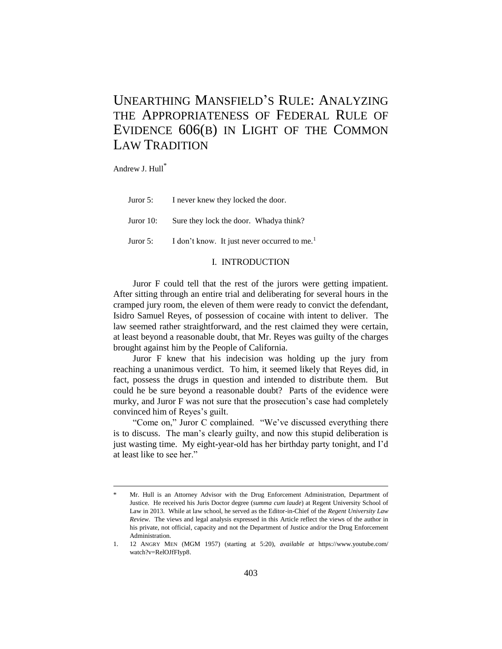# UNEARTHING MANSFIELD'S RULE: ANALYZING THE APPROPRIATENESS OF FEDERAL RULE OF EVIDENCE 606(B) IN LIGHT OF THE COMMON LAW TRADITION

Andrew J. Hull\*

-

Juror 5: I never knew they locked the door.

Juror 10: Sure they lock the door. Whadya think?

Juror 5: I don't know. It just never occurred to me.<sup>1</sup>

## I. INTRODUCTION

Juror F could tell that the rest of the jurors were getting impatient. After sitting through an entire trial and deliberating for several hours in the cramped jury room, the eleven of them were ready to convict the defendant, Isidro Samuel Reyes, of possession of cocaine with intent to deliver. The law seemed rather straightforward, and the rest claimed they were certain, at least beyond a reasonable doubt, that Mr. Reyes was guilty of the charges brought against him by the People of California.

Juror F knew that his indecision was holding up the jury from reaching a unanimous verdict. To him, it seemed likely that Reyes did, in fact, possess the drugs in question and intended to distribute them. But could he be sure beyond a reasonable doubt? Parts of the evidence were murky, and Juror F was not sure that the prosecution's case had completely convinced him of Reyes's guilt.

"Come on," Juror C complained. "We've discussed everything there is to discuss. The man's clearly guilty, and now this stupid deliberation is just wasting time. My eight-year-old has her birthday party tonight, and I'd at least like to see her."

Mr. Hull is an Attorney Advisor with the Drug Enforcement Administration, Department of Justice. He received his Juris Doctor degree (*summa cum laude*) at Regent University School of Law in 2013. While at law school, he served as the Editor-in-Chief of the *Regent University Law Review*. The views and legal analysis expressed in this Article reflect the views of the author in his private, not official, capacity and not the Department of Justice and/or the Drug Enforcement Administration.

<sup>1. 12</sup> ANGRY MEN (MGM 1957) (starting at 5:20), *available at* https://www.youtube.com/ watch?v=RelOJfFIyp8.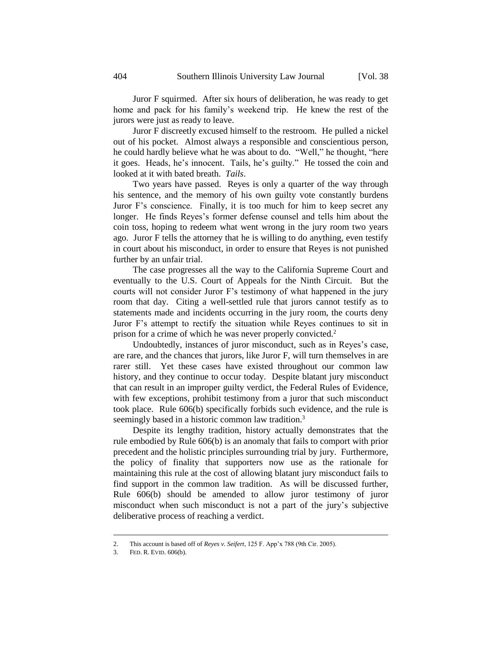Juror F squirmed. After six hours of deliberation, he was ready to get home and pack for his family's weekend trip. He knew the rest of the jurors were just as ready to leave.

Juror F discreetly excused himself to the restroom. He pulled a nickel out of his pocket. Almost always a responsible and conscientious person, he could hardly believe what he was about to do. "Well," he thought, "here it goes. Heads, he's innocent. Tails, he's guilty." He tossed the coin and looked at it with bated breath. *Tails*.

Two years have passed. Reyes is only a quarter of the way through his sentence, and the memory of his own guilty vote constantly burdens Juror F's conscience. Finally, it is too much for him to keep secret any longer. He finds Reyes's former defense counsel and tells him about the coin toss, hoping to redeem what went wrong in the jury room two years ago. Juror F tells the attorney that he is willing to do anything, even testify in court about his misconduct, in order to ensure that Reyes is not punished further by an unfair trial.

The case progresses all the way to the California Supreme Court and eventually to the U.S. Court of Appeals for the Ninth Circuit. But the courts will not consider Juror F's testimony of what happened in the jury room that day. Citing a well-settled rule that jurors cannot testify as to statements made and incidents occurring in the jury room, the courts deny Juror F's attempt to rectify the situation while Reyes continues to sit in prison for a crime of which he was never properly convicted.<sup>2</sup>

Undoubtedly, instances of juror misconduct, such as in Reyes's case, are rare, and the chances that jurors, like Juror F, will turn themselves in are rarer still. Yet these cases have existed throughout our common law history, and they continue to occur today. Despite blatant jury misconduct that can result in an improper guilty verdict, the Federal Rules of Evidence, with few exceptions, prohibit testimony from a juror that such misconduct took place. Rule 606(b) specifically forbids such evidence, and the rule is seemingly based in a historic common law tradition.<sup>3</sup>

Despite its lengthy tradition, history actually demonstrates that the rule embodied by Rule 606(b) is an anomaly that fails to comport with prior precedent and the holistic principles surrounding trial by jury. Furthermore, the policy of finality that supporters now use as the rationale for maintaining this rule at the cost of allowing blatant jury misconduct fails to find support in the common law tradition. As will be discussed further, Rule 606(b) should be amended to allow juror testimony of juror misconduct when such misconduct is not a part of the jury's subjective deliberative process of reaching a verdict.

<sup>2.</sup> This account is based off of *Reyes v. Seifert*, 125 F. App'x 788 (9th Cir. 2005).

<sup>3.</sup> FED. R. EVID. 606(b).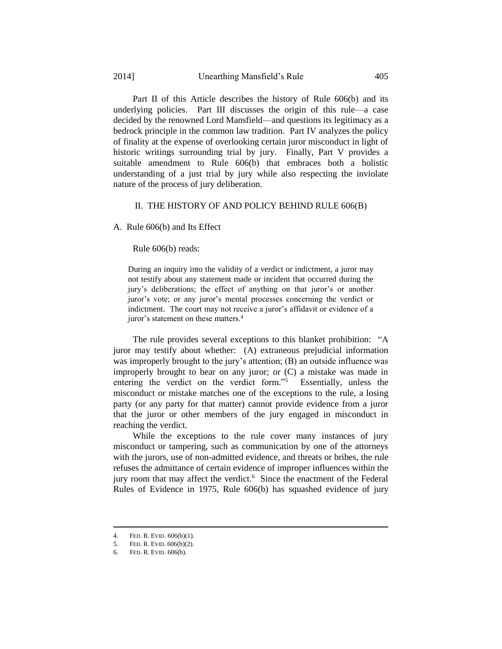Part II of this Article describes the history of Rule 606(b) and its underlying policies. Part III discusses the origin of this rule—a case decided by the renowned Lord Mansfield—and questions its legitimacy as a bedrock principle in the common law tradition. Part IV analyzes the policy of finality at the expense of overlooking certain juror misconduct in light of historic writings surrounding trial by jury. Finally, Part V provides a suitable amendment to Rule 606(b) that embraces both a holistic understanding of a just trial by jury while also respecting the inviolate nature of the process of jury deliberation.

## II. THE HISTORY OF AND POLICY BEHIND RULE 606(B)

A. Rule 606(b) and Its Effect

Rule 606(b) reads:

During an inquiry into the validity of a verdict or indictment, a juror may not testify about any statement made or incident that occurred during the jury's deliberations; the effect of anything on that juror's or another juror's vote; or any juror's mental processes concerning the verdict or indictment. The court may not receive a juror's affidavit or evidence of a juror's statement on these matters.<sup>4</sup>

The rule provides several exceptions to this blanket prohibition: "A juror may testify about whether: (A) extraneous prejudicial information was improperly brought to the jury's attention; (B) an outside influence was improperly brought to bear on any juror; or (C) a mistake was made in entering the verdict on the verdict form."<sup>5</sup> Essentially, unless the misconduct or mistake matches one of the exceptions to the rule, a losing party (or any party for that matter) cannot provide evidence from a juror that the juror or other members of the jury engaged in misconduct in reaching the verdict.

While the exceptions to the rule cover many instances of jury misconduct or tampering, such as communication by one of the attorneys with the jurors, use of non-admitted evidence, and threats or bribes, the rule refuses the admittance of certain evidence of improper influences within the jury room that may affect the verdict.<sup>6</sup> Since the enactment of the Federal Rules of Evidence in 1975, Rule 606(b) has squashed evidence of jury

<sup>4.</sup> FED. R. EVID. 606(b)(1).

<sup>5.</sup> FED. R. EVID. 606(b)(2).

<sup>6.</sup> FED. R. EVID. 606(b).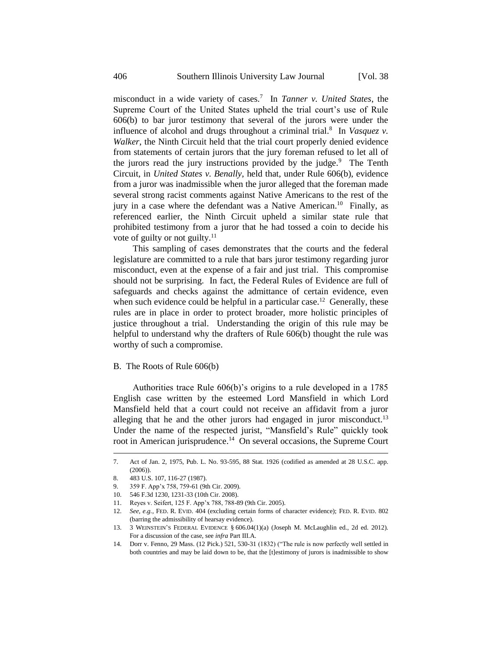misconduct in a wide variety of cases.<sup>7</sup> In *Tanner v. United States*, the Supreme Court of the United States upheld the trial court's use of Rule 606(b) to bar juror testimony that several of the jurors were under the influence of alcohol and drugs throughout a criminal trial.<sup>8</sup> In *Vasquez v*. *Walker*, the Ninth Circuit held that the trial court properly denied evidence from statements of certain jurors that the jury foreman refused to let all of the jurors read the jury instructions provided by the judge. $9$  The Tenth Circuit, in *United States v. Benally*, held that, under Rule 606(b), evidence from a juror was inadmissible when the juror alleged that the foreman made several strong racist comments against Native Americans to the rest of the jury in a case where the defendant was a Native American.<sup>10</sup> Finally, as referenced earlier, the Ninth Circuit upheld a similar state rule that prohibited testimony from a juror that he had tossed a coin to decide his vote of guilty or not guilty. $^{11}$ 

This sampling of cases demonstrates that the courts and the federal legislature are committed to a rule that bars juror testimony regarding juror misconduct, even at the expense of a fair and just trial. This compromise should not be surprising. In fact, the Federal Rules of Evidence are full of safeguards and checks against the admittance of certain evidence, even when such evidence could be helpful in a particular case.<sup>12</sup> Generally, these rules are in place in order to protect broader, more holistic principles of justice throughout a trial. Understanding the origin of this rule may be helpful to understand why the drafters of Rule 606(b) thought the rule was worthy of such a compromise.

#### B. The Roots of Rule 606(b)

Authorities trace Rule 606(b)'s origins to a rule developed in a 1785 English case written by the esteemed Lord Mansfield in which Lord Mansfield held that a court could not receive an affidavit from a juror alleging that he and the other jurors had engaged in juror misconduct.<sup>13</sup> Under the name of the respected jurist, "Mansfield's Rule" quickly took root in American jurisprudence.<sup>14</sup> On several occasions, the Supreme Court

<span id="page-3-0"></span><sup>7.</sup> Act of Jan. 2, 1975, Pub. L. No. 93-595, 88 Stat. 1926 (codified as amended at 28 U.S.C. app.  $(2006)$ ).

<sup>8. 483</sup> U.S. 107, 116-27 (1987).

<sup>9. 359</sup> F. App'x 758, 759-61 (9th Cir. 2009).

<sup>10. 546</sup> F.3d 1230, 1231-33 (10th Cir. 2008).

<sup>11.</sup> Reyes v. Seifert, 125 F. App'x 788, 788-89 (9th Cir. 2005).

<sup>12.</sup> *See, e.g.*, FED. R. EVID. 404 (excluding certain forms of character evidence); FED. R. EVID. 802 (barring the admissibility of hearsay evidence).

<sup>13. 3</sup> WEINSTEIN'S FEDERAL EVIDENCE § 606.04(1)(a) (Joseph M. McLaughlin ed., 2d ed. 2012). For a discussion of the case, see *infra* Part III.A.

<sup>14.</sup> Dorr v. Fenno, 29 Mass. (12 Pick.) 521, 530-31 (1832) ("The rule is now perfectly well settled in both countries and may be laid down to be, that the [t]estimony of jurors is inadmissible to show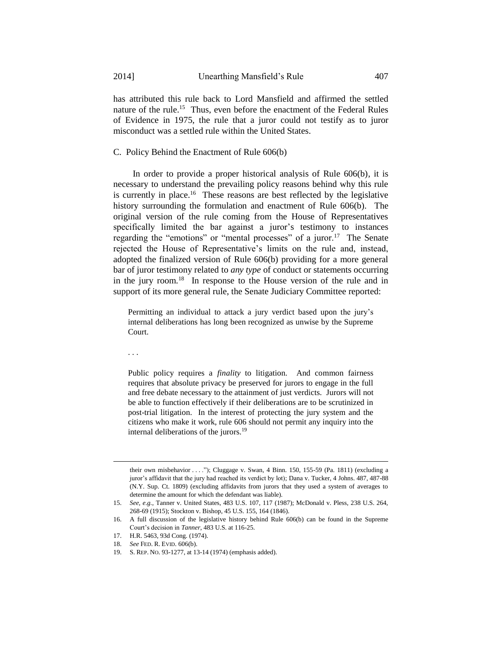has attributed this rule back to Lord Mansfield and affirmed the settled nature of the rule.<sup>15</sup> Thus, even before the enactment of the Federal Rules of Evidence in 1975, the rule that a juror could not testify as to juror misconduct was a settled rule within the United States.

## C. Policy Behind the Enactment of Rule 606(b)

In order to provide a proper historical analysis of Rule 606(b), it is necessary to understand the prevailing policy reasons behind why this rule is currently in place.<sup>16</sup> These reasons are best reflected by the legislative history surrounding the formulation and enactment of Rule 606(b). The original version of the rule coming from the House of Representatives specifically limited the bar against a juror's testimony to instances regarding the "emotions" or "mental processes" of a juror.<sup>17</sup> The Senate rejected the House of Representative's limits on the rule and, instead, adopted the finalized version of Rule 606(b) providing for a more general bar of juror testimony related to *any type* of conduct or statements occurring in the jury room.<sup>18</sup> In response to the House version of the rule and in support of its more general rule, the Senate Judiciary Committee reported:

Permitting an individual to attack a jury verdict based upon the jury's internal deliberations has long been recognized as unwise by the Supreme Court.

. . .

-

Public policy requires a *finality* to litigation. And common fairness requires that absolute privacy be preserved for jurors to engage in the full and free debate necessary to the attainment of just verdicts. Jurors will not be able to function effectively if their deliberations are to be scrutinized in post-trial litigation. In the interest of protecting the jury system and the citizens who make it work, rule 606 should not permit any inquiry into the internal deliberations of the jurors.<sup>19</sup>

their own misbehavior . . . ."); Cluggage v. Swan, 4 Binn. 150, 155-59 (Pa. 1811) (excluding a juror's affidavit that the jury had reached its verdict by lot); Dana v. Tucker, 4 Johns. 487, 487-88 (N.Y. Sup. Ct. 1809) (excluding affidavits from jurors that they used a system of averages to determine the amount for which the defendant was liable).

<sup>15.</sup> *See, e.g.*, Tanner v. United States, 483 U.S. 107, 117 (1987); McDonald v. Pless, 238 U.S. 264, 268-69 (1915); Stockton v. Bishop, 45 U.S. 155, 164 (1846).

<sup>16.</sup> A full discussion of the legislative history behind Rule 606(b) can be found in the Supreme Court's decision in *Tanner*, 483 U.S. at 116-25.

<sup>17.</sup> H.R. 5463, 93d Cong. (1974).

<sup>18.</sup> *See* FED. R. EVID. 606(b).

<sup>19.</sup> S. REP. NO. 93-1277, at 13-14 (1974) (emphasis added).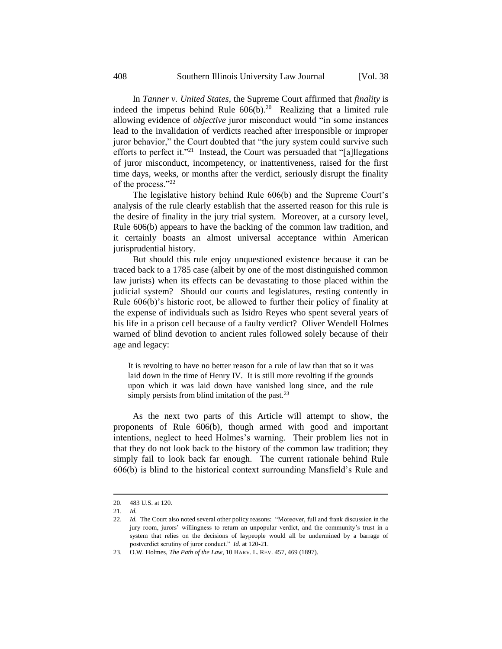In *Tanner v. United States*, the Supreme Court affirmed that *finality* is indeed the impetus behind Rule  $606(b)$ .<sup>20</sup> Realizing that a limited rule allowing evidence of *objective* juror misconduct would "in some instances lead to the invalidation of verdicts reached after irresponsible or improper juror behavior," the Court doubted that "the jury system could survive such efforts to perfect it."<sup>21</sup> Instead, the Court was persuaded that "[a]llegations of juror misconduct, incompetency, or inattentiveness, raised for the first time days, weeks, or months after the verdict, seriously disrupt the finality of the process."<sup>22</sup>

The legislative history behind Rule 606(b) and the Supreme Court's analysis of the rule clearly establish that the asserted reason for this rule is the desire of finality in the jury trial system. Moreover, at a cursory level, Rule 606(b) appears to have the backing of the common law tradition, and it certainly boasts an almost universal acceptance within American jurisprudential history.

But should this rule enjoy unquestioned existence because it can be traced back to a 1785 case (albeit by one of the most distinguished common law jurists) when its effects can be devastating to those placed within the judicial system? Should our courts and legislatures, resting contently in Rule 606(b)'s historic root, be allowed to further their policy of finality at the expense of individuals such as Isidro Reyes who spent several years of his life in a prison cell because of a faulty verdict? Oliver Wendell Holmes warned of blind devotion to ancient rules followed solely because of their age and legacy:

It is revolting to have no better reason for a rule of law than that so it was laid down in the time of Henry IV. It is still more revolting if the grounds upon which it was laid down have vanished long since, and the rule simply persists from blind imitation of the past. $^{23}$ 

As the next two parts of this Article will attempt to show, the proponents of Rule 606(b), though armed with good and important intentions, neglect to heed Holmes's warning. Their problem lies not in that they do not look back to the history of the common law tradition; they simply fail to look back far enough. The current rationale behind Rule 606(b) is blind to the historical context surrounding Mansfield's Rule and

<sup>20. 483</sup> U.S. at 120.

<sup>21.</sup> *Id.*

<sup>22.</sup> *Id.* The Court also noted several other policy reasons: "Moreover, full and frank discussion in the jury room, jurors' willingness to return an unpopular verdict, and the community's trust in a system that relies on the decisions of laypeople would all be undermined by a barrage of postverdict scrutiny of juror conduct." *Id.* at 120-21.

<sup>23.</sup> O.W. Holmes, *The Path of the Law*, 10 HARV. L. REV. 457, 469 (1897).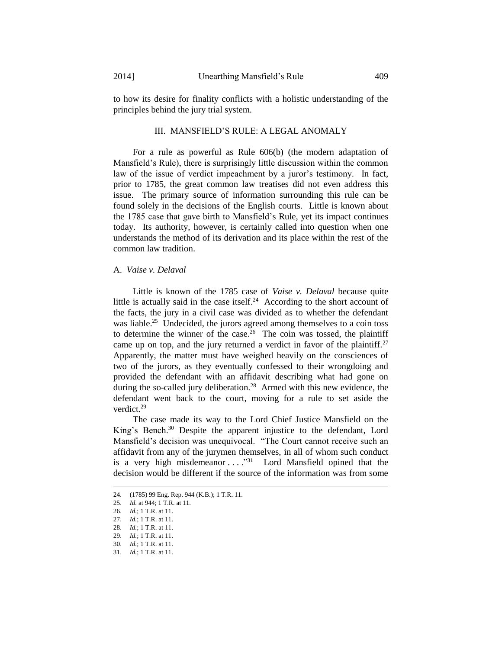to how its desire for finality conflicts with a holistic understanding of the principles behind the jury trial system.

## III. MANSFIELD'S RULE: A LEGAL ANOMALY

For a rule as powerful as Rule 606(b) (the modern adaptation of Mansfield's Rule), there is surprisingly little discussion within the common law of the issue of verdict impeachment by a juror's testimony. In fact, prior to 1785, the great common law treatises did not even address this issue. The primary source of information surrounding this rule can be found solely in the decisions of the English courts. Little is known about the 1785 case that gave birth to Mansfield's Rule, yet its impact continues today. Its authority, however, is certainly called into question when one understands the method of its derivation and its place within the rest of the common law tradition.

## A. *Vaise v. Delaval*

Little is known of the 1785 case of *Vaise v. Delaval* because quite little is actually said in the case itself. $24$  According to the short account of the facts, the jury in a civil case was divided as to whether the defendant was liable.<sup>25</sup> Undecided, the jurors agreed among themselves to a coin toss to determine the winner of the case.<sup>26</sup> The coin was tossed, the plaintiff came up on top, and the jury returned a verdict in favor of the plaintiff.<sup>27</sup> Apparently, the matter must have weighed heavily on the consciences of two of the jurors, as they eventually confessed to their wrongdoing and provided the defendant with an affidavit describing what had gone on during the so-called jury deliberation.<sup>28</sup> Armed with this new evidence, the defendant went back to the court, moving for a rule to set aside the verdict. 29

The case made its way to the Lord Chief Justice Mansfield on the King's Bench.<sup>30</sup> Despite the apparent injustice to the defendant, Lord Mansfield's decision was unequivocal. "The Court cannot receive such an affidavit from any of the jurymen themselves, in all of whom such conduct is a very high misdemeanor  $\dots$ ."<sup>31</sup> Lord Mansfield opined that the decision would be different if the source of the information was from some

<sup>24. (1785) 99</sup> Eng. Rep. 944 (K.B.); 1 T.R. 11.

<sup>25.</sup> *Id.* at 944; 1 T.R. at 11.

<sup>26.</sup> *Id.*; 1 T.R. at 11.

<sup>27.</sup> *Id.*; 1 T.R. at 11.

<sup>28.</sup> *Id.*; 1 T.R. at 11.

<sup>29.</sup> *Id.*; 1 T.R. at 11.

<sup>30.</sup> *Id.*; 1 T.R. at 11.

<sup>31.</sup> *Id.*; 1 T.R. at 11.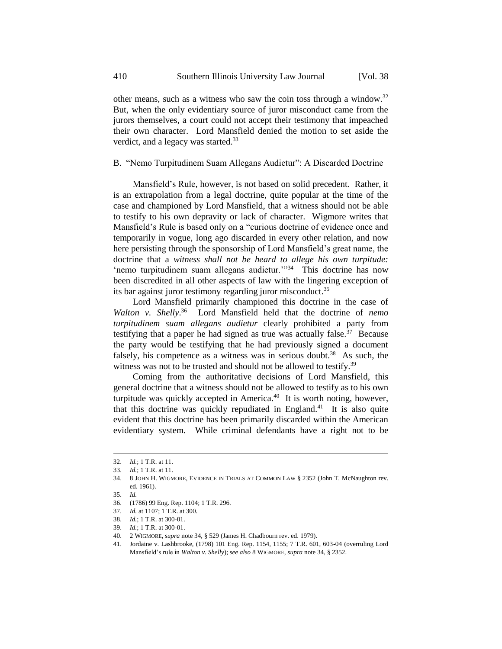other means, such as a witness who saw the coin toss through a window.<sup>32</sup> But, when the only evidentiary source of juror misconduct came from the jurors themselves, a court could not accept their testimony that impeached their own character. Lord Mansfield denied the motion to set aside the verdict, and a legacy was started.<sup>33</sup>

## B. "Nemo Turpitudinem Suam Allegans Audietur": A Discarded Doctrine

Mansfield's Rule, however, is not based on solid precedent. Rather, it is an extrapolation from a legal doctrine, quite popular at the time of the case and championed by Lord Mansfield, that a witness should not be able to testify to his own depravity or lack of character. Wigmore writes that Mansfield's Rule is based only on a "curious doctrine of evidence once and temporarily in vogue, long ago discarded in every other relation, and now here persisting through the sponsorship of Lord Mansfield's great name, the doctrine that a *witness shall not be heard to allege his own turpitude:* 'nemo turpitudinem suam allegans audietur.'"<sup>34</sup> This doctrine has now been discredited in all other aspects of law with the lingering exception of its bar against juror testimony regarding juror misconduct.<sup>35</sup>

<span id="page-7-0"></span>Lord Mansfield primarily championed this doctrine in the case of *Walton v. Shelly*. <sup>36</sup> Lord Mansfield held that the doctrine of *nemo turpitudinem suam allegans audietur* clearly prohibited a party from testifying that a paper he had signed as true was actually false.<sup>37</sup> Because the party would be testifying that he had previously signed a document falsely, his competence as a witness was in serious doubt.<sup>38</sup> As such, the witness was not to be trusted and should not be allowed to testify.<sup>39</sup>

Coming from the authoritative decisions of Lord Mansfield, this general doctrine that a witness should not be allowed to testify as to his own turpitude was quickly accepted in America. $40$  It is worth noting, however, that this doctrine was quickly repudiated in England.<sup>41</sup> It is also quite evident that this doctrine has been primarily discarded within the American evidentiary system. While criminal defendants have a right not to be

<sup>32.</sup> *Id.*; 1 T.R. at 11.

<sup>33.</sup> *Id.*; 1 T.R. at 11.

<sup>34. 8</sup> JOHN H. WIGMORE, EVIDENCE IN TRIALS AT COMMON LAW § 2352 (John T. McNaughton rev. ed. 1961).

<sup>35.</sup> *Id.*

<sup>36. (1786) 99</sup> Eng. Rep. 1104; 1 T.R. 296.

<sup>37.</sup> *Id.* at 1107; 1 T.R. at 300.

<sup>38.</sup> *Id.*; 1 T.R. at 300-01.

<sup>39.</sup> *Id.*; 1 T.R. at 300-01.

<sup>40. 2</sup> WIGMORE, *supra* not[e 34,](#page-7-0) § 529 (James H. Chadbourn rev. ed. 1979).

<sup>41.</sup> Jordaine v. Lashbrooke, (1798) 101 Eng. Rep. 1154, 1155; 7 T.R. 601, 603-04 (overruling Lord Mansfield's rule in *Walton v. Shelly*); *see also* 8 WIGMORE, *supra* not[e 34,](#page-7-0) § 2352.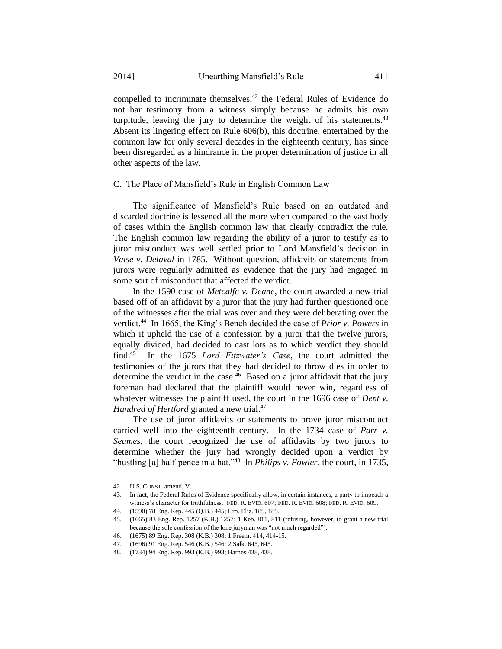compelled to incriminate themselves,<sup>42</sup> the Federal Rules of Evidence do not bar testimony from a witness simply because he admits his own turpitude, leaving the jury to determine the weight of his statements. $43$ Absent its lingering effect on Rule 606(b), this doctrine, entertained by the common law for only several decades in the eighteenth century, has since been disregarded as a hindrance in the proper determination of justice in all other aspects of the law.

## C. The Place of Mansfield's Rule in English Common Law

The significance of Mansfield's Rule based on an outdated and discarded doctrine is lessened all the more when compared to the vast body of cases within the English common law that clearly contradict the rule. The English common law regarding the ability of a juror to testify as to juror misconduct was well settled prior to Lord Mansfield's decision in *Vaise v. Delaval* in 1785. Without question, affidavits or statements from jurors were regularly admitted as evidence that the jury had engaged in some sort of misconduct that affected the verdict.

In the 1590 case of *Metcalfe v. Deane*, the court awarded a new trial based off of an affidavit by a juror that the jury had further questioned one of the witnesses after the trial was over and they were deliberating over the verdict.<sup>44</sup> In 1665, the King's Bench decided the case of *Prior v. Powers* in which it upheld the use of a confession by a juror that the twelve jurors, equally divided, had decided to cast lots as to which verdict they should find.<sup>45</sup> In the 1675 *Lord Fitzwater's Case*, the court admitted the testimonies of the jurors that they had decided to throw dies in order to determine the verdict in the case.<sup>46</sup> Based on a juror affidavit that the jury foreman had declared that the plaintiff would never win, regardless of whatever witnesses the plaintiff used, the court in the 1696 case of *Dent v*. *Hundred of Hertford* granted a new trial.<sup>47</sup>

The use of juror affidavits or statements to prove juror misconduct carried well into the eighteenth century. In the 1734 case of *Parr v. Seames*, the court recognized the use of affidavits by two jurors to determine whether the jury had wrongly decided upon a verdict by "hustling [a] half-pence in a hat."<sup>48</sup> In *Philips v. Fowler*, the court, in 1735,

<sup>42.</sup> U.S. CONST. amend. V.

<sup>43.</sup> In fact, the Federal Rules of Evidence specifically allow, in certain instances, a party to impeach a witness's character for truthfulness. FED. R. EVID. 607; FED. R. EVID. 608; FED. R. EVID. 609.

<sup>44. (1590) 78</sup> Eng. Rep. 445 (Q.B.) 445; Cro. Eliz. 189, 189.

<sup>45. (1665) 83</sup> Eng. Rep. 1257 (K.B.) 1257; 1 Keb. 811, 811 (refusing, however, to grant a new trial because the sole confession of the lone juryman was "not much regarded").

<sup>46. (1675) 89</sup> Eng. Rep. 308 (K.B.) 308; 1 Freem. 414, 414-15.

<sup>47. (1696) 91</sup> Eng. Rep. 546 (K.B.) 546; 2 Salk. 645, 645.

<sup>48. (1734) 94</sup> Eng. Rep. 993 (K.B.) 993; Barnes 438, 438.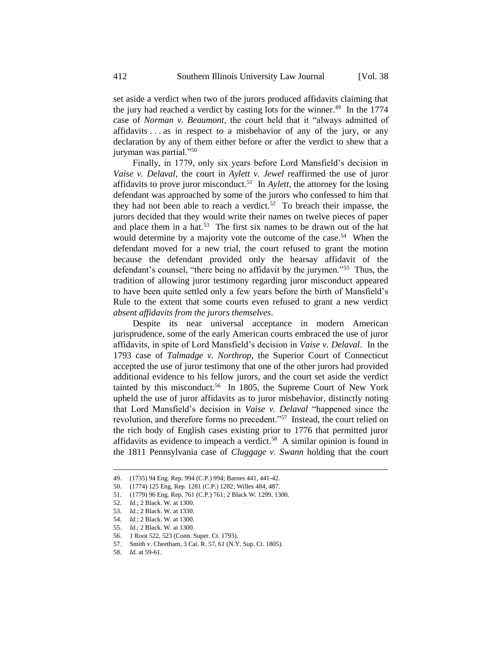set aside a verdict when two of the jurors produced affidavits claiming that the jury had reached a verdict by casting lots for the winner.<sup>49</sup> In the 1774 case of *Norman v. Beaumont*, the court held that it "always admitted of affidavits . . . as in respect to a misbehavior of any of the jury, or any declaration by any of them either before or after the verdict to shew that a juryman was partial."<sup>50</sup>

Finally, in 1779, only six years before Lord Mansfield's decision in *Vaise v. Delaval*, the court in *Aylett v. Jewel* reaffirmed the use of juror affidavits to prove juror misconduct.<sup>51</sup> In  $Aylett$ , the attorney for the losing defendant was approached by some of the jurors who confessed to him that they had not been able to reach a verdict.<sup>52</sup> To breach their impasse, the jurors decided that they would write their names on twelve pieces of paper and place them in a hat.<sup>53</sup> The first six names to be drawn out of the hat would determine by a majority vote the outcome of the case.<sup>54</sup> When the defendant moved for a new trial, the court refused to grant the motion because the defendant provided only the hearsay affidavit of the defendant's counsel, "there being no affidavit by the jurymen."<sup>55</sup> Thus, the tradition of allowing juror testimony regarding juror misconduct appeared to have been quite settled only a few years before the birth of Mansfield's Rule to the extent that some courts even refused to grant a new verdict *absent affidavits from the jurors themselves*.

Despite its near universal acceptance in modern American jurisprudence, some of the early American courts embraced the use of juror affidavits, in spite of Lord Mansfield's decision in *Vaise v. Delaval*. In the 1793 case of *Talmadge v. Northrop*, the Superior Court of Connecticut accepted the use of juror testimony that one of the other jurors had provided additional evidence to his fellow jurors, and the court set aside the verdict tainted by this misconduct.<sup>56</sup> In 1805, the Supreme Court of New York upheld the use of juror affidavits as to juror misbehavior, distinctly noting that Lord Mansfield's decision in *Vaise v. Delaval* "happened since the revolution, and therefore forms no precedent."<sup>57</sup> Instead, the court relied on the rich body of English cases existing prior to 1776 that permitted juror affidavits as evidence to impeach a verdict.<sup>58</sup> A similar opinion is found in the 1811 Pennsylvania case of *Cluggage v. Swann* holding that the court

<sup>49. (1735) 94</sup> Eng. Rep. 994 (C.P.) 994; Barnes 441, 441-42.

<sup>50. (1774) 125</sup> Eng. Rep. 1281 (C.P.) 1282; Willes 484, 487.

<sup>51. (1779) 96</sup> Eng. Rep. 761 (C.P.) 761; 2 Black W. 1299, 1300.

<sup>52.</sup> *Id.*; 2 Black. W. at 1300.

<sup>53.</sup> *Id.*; 2 Black. W. at 1330.

<sup>54.</sup> *Id.*; 2 Black. W. at 1300.

<sup>55.</sup> *Id.*; 2 Black. W. at 1300.

<sup>56. 1</sup> Root 522, 523 (Conn. Super. Ct. 1793).

<sup>57.</sup> Smith v. Cheetham, 3 Cai. R. 57, 61 (N.Y. Sup. Ct. 1805).

<sup>58.</sup> *Id.* at 59-61.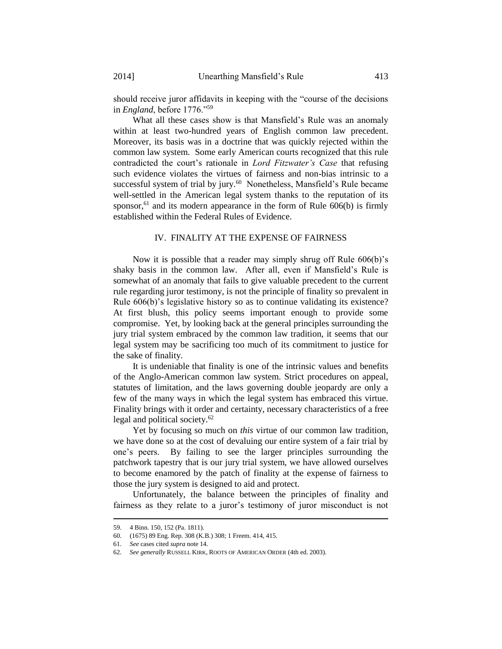should receive juror affidavits in keeping with the "course of the decisions in *England*, before 1776."<sup>59</sup>

What all these cases show is that Mansfield's Rule was an anomaly within at least two-hundred years of English common law precedent. Moreover, its basis was in a doctrine that was quickly rejected within the common law system. Some early American courts recognized that this rule contradicted the court's rationale in *Lord Fitzwater's Case* that refusing such evidence violates the virtues of fairness and non-bias intrinsic to a successful system of trial by jury.<sup>60</sup> Nonetheless, Mansfield's Rule became well-settled in the American legal system thanks to the reputation of its sponsor,  $61$  and its modern appearance in the form of Rule  $606(b)$  is firmly established within the Federal Rules of Evidence.

## IV. FINALITY AT THE EXPENSE OF FAIRNESS

Now it is possible that a reader may simply shrug off Rule 606(b)'s shaky basis in the common law. After all, even if Mansfield's Rule is somewhat of an anomaly that fails to give valuable precedent to the current rule regarding juror testimony, is not the principle of finality so prevalent in Rule 606(b)'s legislative history so as to continue validating its existence? At first blush, this policy seems important enough to provide some compromise. Yet, by looking back at the general principles surrounding the jury trial system embraced by the common law tradition, it seems that our legal system may be sacrificing too much of its commitment to justice for the sake of finality.

It is undeniable that finality is one of the intrinsic values and benefits of the Anglo-American common law system. Strict procedures on appeal, statutes of limitation, and the laws governing double jeopardy are only a few of the many ways in which the legal system has embraced this virtue. Finality brings with it order and certainty, necessary characteristics of a free legal and political society.<sup>62</sup>

Yet by focusing so much on *this* virtue of our common law tradition, we have done so at the cost of devaluing our entire system of a fair trial by one's peers. By failing to see the larger principles surrounding the patchwork tapestry that is our jury trial system, we have allowed ourselves to become enamored by the patch of finality at the expense of fairness to those the jury system is designed to aid and protect.

Unfortunately, the balance between the principles of finality and fairness as they relate to a juror's testimony of juror misconduct is not

<sup>59. 4</sup> Binn. 150, 152 (Pa. 1811).

<sup>60. (1675) 89</sup> Eng. Rep. 308 (K.B.) 308; 1 Freem. 414, 415.

<sup>61.</sup> *See* cases cited *supra* not[e 14.](#page-3-0)

<sup>62.</sup> *See generally* RUSSELL KIRK, ROOTS OF AMERICAN ORDER (4th ed. 2003).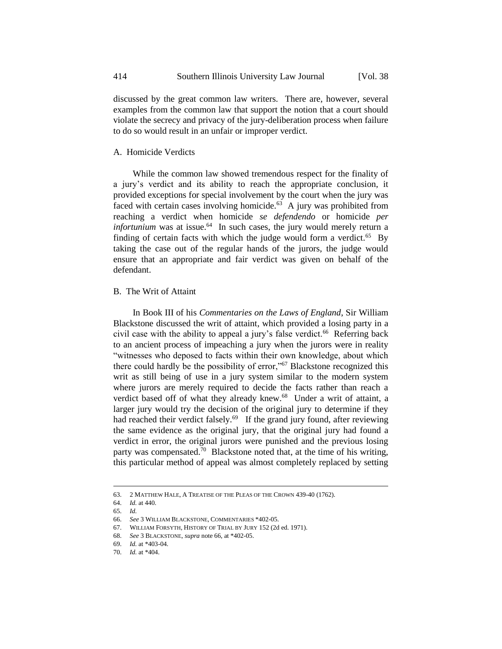discussed by the great common law writers. There are, however, several examples from the common law that support the notion that a court should violate the secrecy and privacy of the jury-deliberation process when failure to do so would result in an unfair or improper verdict.

## A. Homicide Verdicts

While the common law showed tremendous respect for the finality of a jury's verdict and its ability to reach the appropriate conclusion, it provided exceptions for special involvement by the court when the jury was faced with certain cases involving homicide. $63$  A jury was prohibited from reaching a verdict when homicide *se defendendo* or homicide *per*   $\int$ *infortunium* was at issue.<sup>64</sup> In such cases, the jury would merely return a finding of certain facts with which the judge would form a verdict.<sup>65</sup> By taking the case out of the regular hands of the jurors, the judge would ensure that an appropriate and fair verdict was given on behalf of the defendant.

#### B. The Writ of Attaint

<span id="page-11-0"></span>In Book III of his *Commentaries on the Laws of England*, Sir William Blackstone discussed the writ of attaint, which provided a losing party in a civil case with the ability to appeal a jury's false verdict.<sup>66</sup> Referring back to an ancient process of impeaching a jury when the jurors were in reality "witnesses who deposed to facts within their own knowledge, about which there could hardly be the possibility of error,"<sup>67</sup> Blackstone recognized this writ as still being of use in a jury system similar to the modern system where jurors are merely required to decide the facts rather than reach a verdict based off of what they already knew.<sup>68</sup> Under a writ of attaint, a larger jury would try the decision of the original jury to determine if they had reached their verdict falsely.<sup>69</sup> If the grand jury found, after reviewing the same evidence as the original jury, that the original jury had found a verdict in error, the original jurors were punished and the previous losing party was compensated.<sup>70</sup> Blackstone noted that, at the time of his writing, this particular method of appeal was almost completely replaced by setting

<sup>63. 2</sup> MATTHEW HALE, A TREATISE OF THE PLEAS OF THE CROWN 439-40 (1762).

<sup>64.</sup> *Id.* at 440.

<sup>65.</sup> *Id.*

<sup>66.</sup> *See* 3 WILLIAM BLACKSTONE, COMMENTARIES \*402-05.

<sup>67.</sup> WILLIAM FORSYTH, HISTORY OF TRIAL BY JURY 152 (2d ed. 1971).

<sup>68.</sup> *See* 3 BLACKSTONE, *supra* not[e 66,](#page-11-0) at \*402-05.

<sup>69.</sup> *Id.* at \*403-04.

<sup>70.</sup> *Id.* at \*404.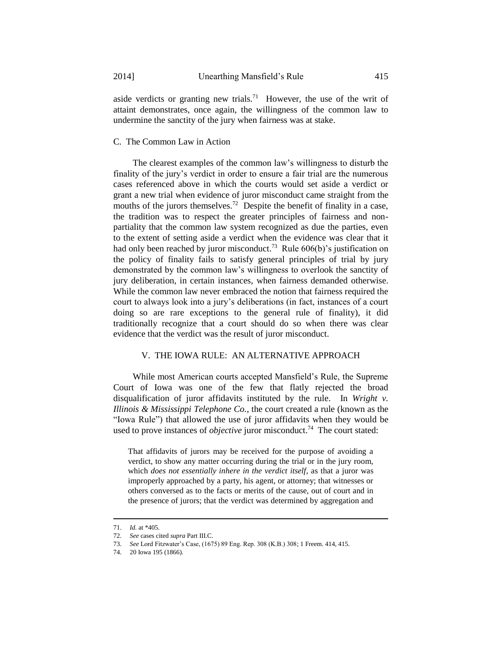aside verdicts or granting new trials.<sup>71</sup> However, the use of the writ of attaint demonstrates, once again, the willingness of the common law to undermine the sanctity of the jury when fairness was at stake.

## C. The Common Law in Action

The clearest examples of the common law's willingness to disturb the finality of the jury's verdict in order to ensure a fair trial are the numerous cases referenced above in which the courts would set aside a verdict or grant a new trial when evidence of juror misconduct came straight from the mouths of the jurors themselves.<sup>72</sup> Despite the benefit of finality in a case, the tradition was to respect the greater principles of fairness and nonpartiality that the common law system recognized as due the parties, even to the extent of setting aside a verdict when the evidence was clear that it had only been reached by juror misconduct.<sup>73</sup> Rule  $606(b)$ 's justification on the policy of finality fails to satisfy general principles of trial by jury demonstrated by the common law's willingness to overlook the sanctity of jury deliberation, in certain instances, when fairness demanded otherwise. While the common law never embraced the notion that fairness required the court to always look into a jury's deliberations (in fact, instances of a court doing so are rare exceptions to the general rule of finality), it did traditionally recognize that a court should do so when there was clear evidence that the verdict was the result of juror misconduct.

# V. THE IOWA RULE: AN ALTERNATIVE APPROACH

While most American courts accepted Mansfield's Rule, the Supreme Court of Iowa was one of the few that flatly rejected the broad disqualification of juror affidavits instituted by the rule. In *Wright v. Illinois & Mississippi Telephone Co.*, the court created a rule (known as the "Iowa Rule") that allowed the use of juror affidavits when they would be used to prove instances of *objective* juror misconduct.<sup>74</sup> The court stated:

That affidavits of jurors may be received for the purpose of avoiding a verdict, to show any matter occurring during the trial or in the jury room, which *does not essentially inhere in the verdict itself*, as that a juror was improperly approached by a party, his agent, or attorney; that witnesses or others conversed as to the facts or merits of the cause, out of court and in the presence of jurors; that the verdict was determined by aggregation and

<sup>71.</sup> *Id.* at \*405.

<sup>72.</sup> *See* cases cited *supra* Part III.C.

<sup>73.</sup> *See* Lord Fitzwater's Case, (1675) 89 Eng. Rep. 308 (K.B.) 308; 1 Freem. 414, 415.

<sup>74.</sup> 20 Iowa 195 (1866).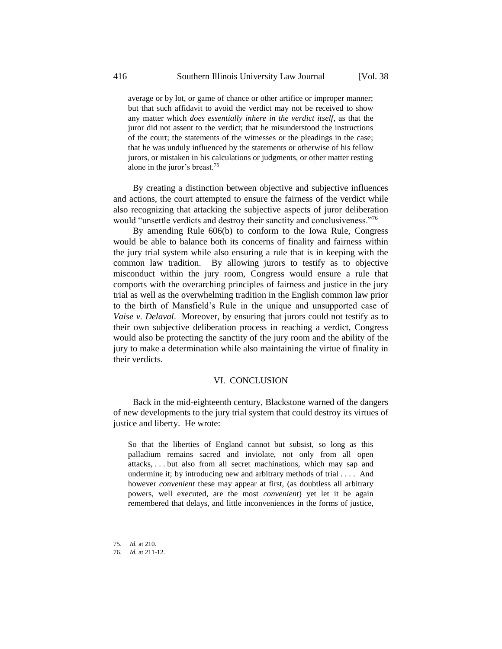average or by lot, or game of chance or other artifice or improper manner; but that such affidavit to avoid the verdict may not be received to show any matter which *does essentially inhere in the verdict itself*, as that the juror did not assent to the verdict; that he misunderstood the instructions of the court; the statements of the witnesses or the pleadings in the case; that he was unduly influenced by the statements or otherwise of his fellow jurors, or mistaken in his calculations or judgments, or other matter resting alone in the juror's breast.<sup>75</sup>

By creating a distinction between objective and subjective influences and actions, the court attempted to ensure the fairness of the verdict while also recognizing that attacking the subjective aspects of juror deliberation would "unsettle verdicts and destroy their sanctity and conclusiveness."<sup>76</sup>

By amending Rule 606(b) to conform to the Iowa Rule, Congress would be able to balance both its concerns of finality and fairness within the jury trial system while also ensuring a rule that is in keeping with the common law tradition. By allowing jurors to testify as to objective misconduct within the jury room, Congress would ensure a rule that comports with the overarching principles of fairness and justice in the jury trial as well as the overwhelming tradition in the English common law prior to the birth of Mansfield's Rule in the unique and unsupported case of *Vaise v. Delaval*. Moreover, by ensuring that jurors could not testify as to their own subjective deliberation process in reaching a verdict, Congress would also be protecting the sanctity of the jury room and the ability of the jury to make a determination while also maintaining the virtue of finality in their verdicts.

### VI. CONCLUSION

Back in the mid-eighteenth century, Blackstone warned of the dangers of new developments to the jury trial system that could destroy its virtues of justice and liberty. He wrote:

So that the liberties of England cannot but subsist, so long as this palladium remains sacred and inviolate, not only from all open attacks, . . . but also from all secret machinations, which may sap and undermine it; by introducing new and arbitrary methods of trial .... And however *convenient* these may appear at first, (as doubtless all arbitrary powers, well executed, are the most *convenient*) yet let it be again remembered that delays, and little inconveniences in the forms of justice,

<sup>75.</sup> *Id.* at 210.

<sup>76.</sup> *Id.* at 211-12.